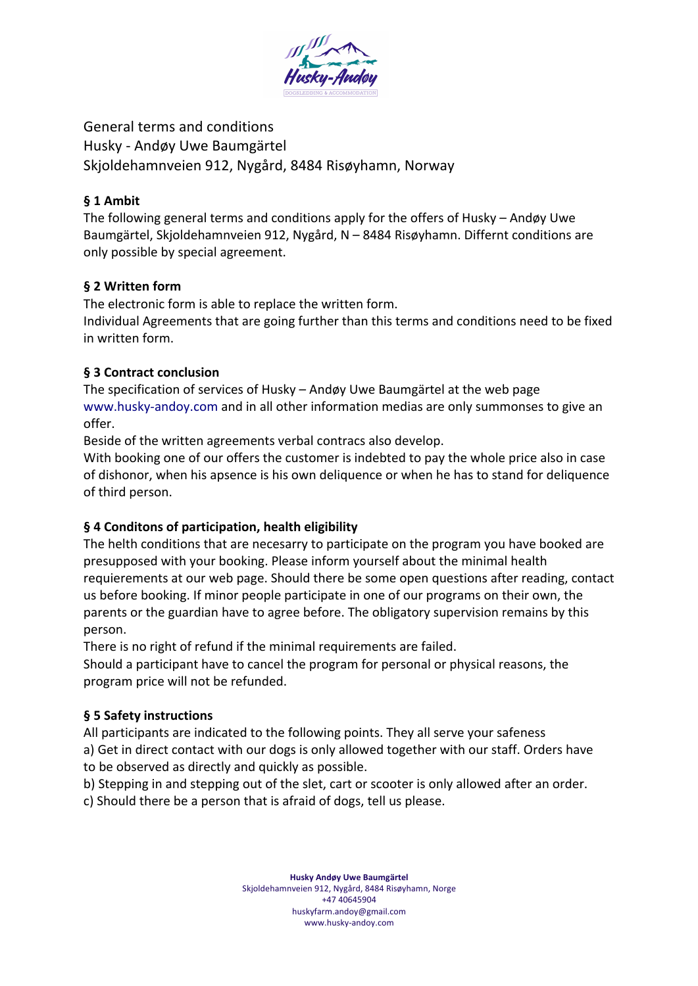

General terms and conditions Husky - Andøy Uwe Baumgärtel Skjoldehamnveien 912, Nygård, 8484 Risøyhamn, Norway

## **§ 1 Ambit**

The following general terms and conditions apply for the offers of Husky – Andøy Uwe Baumgärtel, Skjoldehamnveien 912, Nygård, N – 8484 Risøyhamn. Differnt conditions are only possible by special agreement.

## **§ 2 Written form**

The electronic form is able to replace the written form.

Individual Agreements that are going further than this terms and conditions need to be fixed in written form.

## **§ 3 Contract conclusion**

The specification of services of Husky – Andøy Uwe Baumgärtel at the web page www.husky-andoy.com and in all other information medias are only summonses to give an offer.

Beside of the written agreements verbal contracs also develop.

With booking one of our offers the customer is indebted to pay the whole price also in case of dishonor, when his apsence is his own deliquence or when he has to stand for deliquence of third person.

# **§ 4 Conditons of participation, health eligibility**

The helth conditions that are necesarry to participate on the program you have booked are presupposed with your booking. Please inform yourself about the minimal health requierements at our web page. Should there be some open questions after reading, contact us before booking. If minor people participate in one of our programs on their own, the parents or the guardian have to agree before. The obligatory supervision remains by this person.

There is no right of refund if the minimal requirements are failed.

Should a participant have to cancel the program for personal or physical reasons, the program price will not be refunded.

# **§ 5 Safety instructions**

All participants are indicated to the following points. They all serve your safeness a) Get in direct contact with our dogs is only allowed together with our staff. Orders have to be observed as directly and quickly as possible.

b) Stepping in and stepping out of the slet, cart or scooter is only allowed after an order.

c) Should there be a person that is afraid of dogs, tell us please.

**Husky Andøy Uwe Baumgärtel** Skjoldehamnveien 912, Nygård, 8484 Risøyhamn, Norge +47 40645904 huskyfarm.andoy@gmail.com www.husky-andoy.com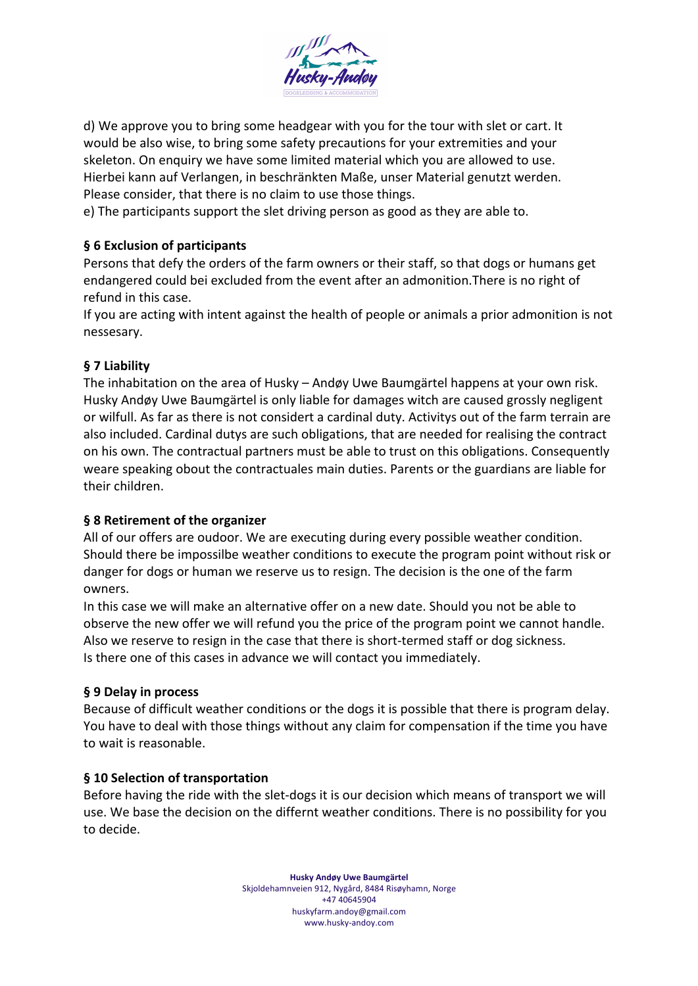

d) We approve you to bring some headgear with you for the tour with slet or cart. It would be also wise, to bring some safety precautions for your extremities and your skeleton. On enquiry we have some limited material which you are allowed to use. Hierbei kann auf Verlangen, in beschränkten Maße, unser Material genutzt werden. Please consider, that there is no claim to use those things.

e) The participants support the slet driving person as good as they are able to.

## **§ 6 Exclusion of participants**

Persons that defy the orders of the farm owners or their staff, so that dogs or humans get endangered could bei excluded from the event after an admonition.There is no right of refund in this case.

If you are acting with intent against the health of people or animals a prior admonition is not nessesary.

## **§ 7 Liability**

The inhabitation on the area of Husky – Andøy Uwe Baumgärtel happens at your own risk. Husky Andøy Uwe Baumgärtel is only liable for damages witch are caused grossly negligent or wilfull. As far as there is not considert a cardinal duty. Activitys out of the farm terrain are also included. Cardinal dutys are such obligations, that are needed for realising the contract on his own. The contractual partners must be able to trust on this obligations. Consequently weare speaking obout the contractuales main duties. Parents or the guardians are liable for their children.

## **§ 8 Retirement of the organizer**

All of our offers are oudoor. We are executing during every possible weather condition. Should there be impossilbe weather conditions to execute the program point without risk or danger for dogs or human we reserve us to resign. The decision is the one of the farm owners.

In this case we will make an alternative offer on a new date. Should you not be able to observe the new offer we will refund you the price of the program point we cannot handle. Also we reserve to resign in the case that there is short-termed staff or dog sickness. Is there one of this cases in advance we will contact you immediately.

## **§ 9 Delay in process**

Because of difficult weather conditions or the dogs it is possible that there is program delay. You have to deal with those things without any claim for compensation if the time you have to wait is reasonable.

## **§ 10 Selection of transportation**

Before having the ride with the slet-dogs it is our decision which means of transport we will use. We base the decision on the differnt weather conditions. There is no possibility for you to decide.

> **Husky Andøy Uwe Baumgärtel** Skjoldehamnveien 912, Nygård, 8484 Risøyhamn, Norge +47 40645904 huskyfarm.andoy@gmail.com www.husky-andoy.com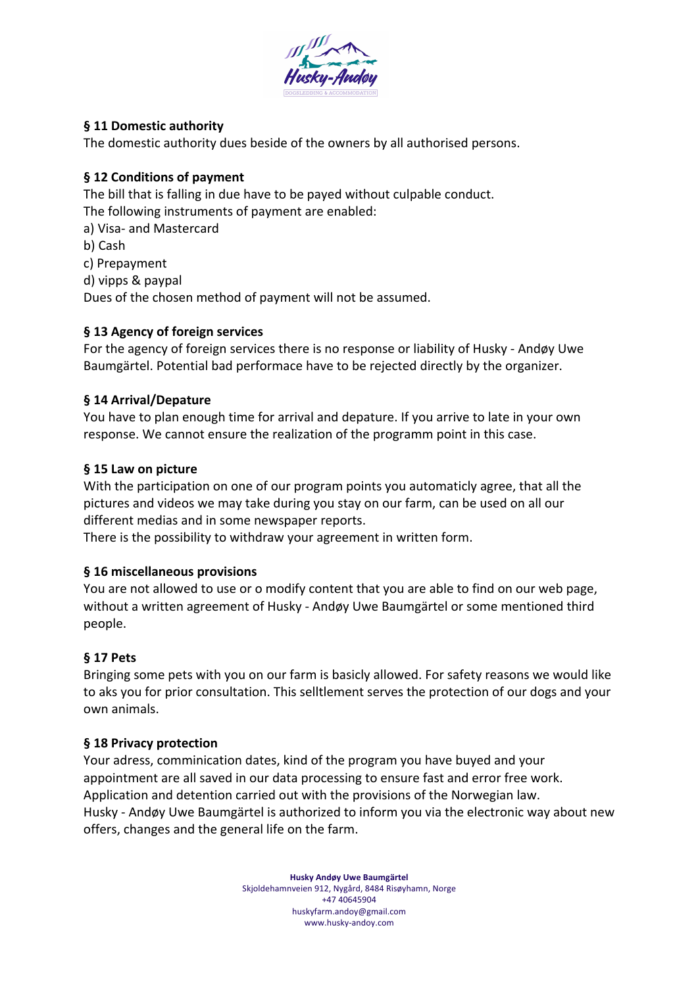

## **§ 11 Domestic authority**

The domestic authority dues beside of the owners by all authorised persons.

## **§ 12 Conditions of payment**

The bill that is falling in due have to be payed without culpable conduct. The following instruments of payment are enabled:

a) Visa- and Mastercard b) Cash c) Prepayment d) vipps & paypal Dues of the chosen method of payment will not be assumed.

## **§ 13 Agency of foreign services**

For the agency of foreign services there is no response or liability of Husky - Andøy Uwe Baumgärtel. Potential bad performace have to be rejected directly by the organizer.

## **§ 14 Arrival/Depature**

You have to plan enough time for arrival and depature. If you arrive to late in your own response. We cannot ensure the realization of the programm point in this case.

## **§ 15 Law on picture**

With the participation on one of our program points you automaticly agree, that all the pictures and videos we may take during you stay on our farm, can be used on all our different medias and in some newspaper reports.

There is the possibility to withdraw your agreement in written form.

## **§ 16 miscellaneous provisions**

You are not allowed to use or o modify content that you are able to find on our web page, without a written agreement of Husky - Andøy Uwe Baumgärtel or some mentioned third people.

## **§ 17 Pets**

Bringing some pets with you on our farm is basicly allowed. For safety reasons we would like to aks you for prior consultation. This selltlement serves the protection of our dogs and your own animals.

## **§ 18 Privacy protection**

Your adress, comminication dates, kind of the program you have buyed and your appointment are all saved in our data processing to ensure fast and error free work. Application and detention carried out with the provisions of the Norwegian law. Husky - Andøy Uwe Baumgärtel is authorized to inform you via the electronic way about new offers, changes and the general life on the farm.

> **Husky Andøy Uwe Baumgärtel** Skjoldehamnveien 912, Nygård, 8484 Risøyhamn, Norge +47 40645904 huskyfarm.andoy@gmail.com www.husky-andoy.com